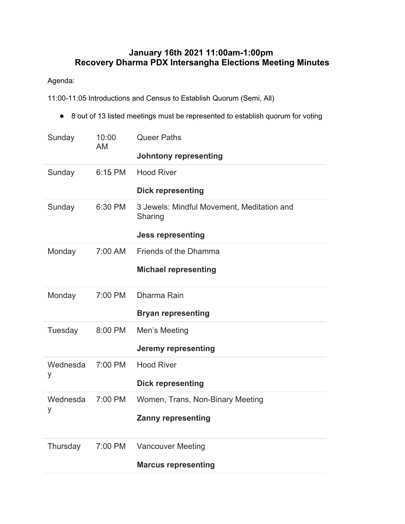## **January 16th 2021 11:00am-1:00pm Recovery Dharma PDX Intersangha Elections Meeting Minutes**

## Agenda:

11:00-11:05 Introductions and Census to Establish Quorum (Semi, All)

● 8 out of 13 listed meetings must be represented to establish quorum for voting

| Sunday        | 10:00<br>AM | <b>Queer Paths</b><br><b>Johntony representing</b>                                |
|---------------|-------------|-----------------------------------------------------------------------------------|
| Sunday        | 6:15 PM     | <b>Hood River</b><br><b>Dick representing</b>                                     |
| Sunday        | 6:30 PM     | 3 Jewels: Mindful Movement, Meditation and<br>Sharing<br><b>Jess representing</b> |
| Monday        | 7:00 AM     | Friends of the Dhamma<br><b>Michael representing</b>                              |
| Monday        | 7:00 PM     | Dharma Rain<br><b>Bryan representing</b>                                          |
| Tuesday       | 8:00 PM     | Men's Meeting<br><b>Jeremy representing</b>                                       |
| Wednesda<br>у | 7:00 PM     | <b>Hood River</b><br><b>Dick representing</b>                                     |
| Wednesda<br>у | 7:00 PM     | Women, Trans, Non-Binary Meeting<br><b>Zanny representing</b>                     |
| Thursday      | 7:00 PM     | <b>Vancouver Meeting</b><br><b>Marcus representing</b>                            |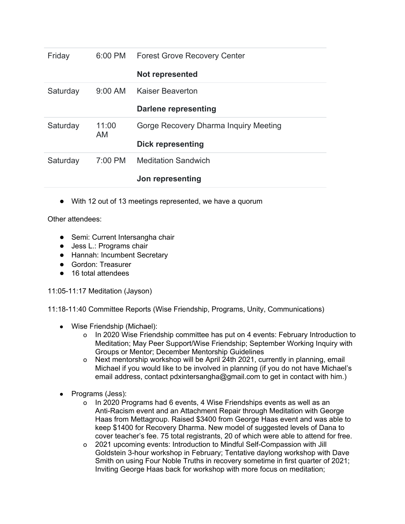| Friday   |             | 6:00 PM Forest Grove Recovery Center  |
|----------|-------------|---------------------------------------|
|          |             | <b>Not represented</b>                |
| Saturday | 9:00 AM     | Kaiser Beaverton                      |
|          |             | <b>Darlene representing</b>           |
| Saturday | 11:00<br>AM | Gorge Recovery Dharma Inquiry Meeting |
|          |             | <b>Dick representing</b>              |
| Saturday | 7:00 PM     | <b>Meditation Sandwich</b>            |
|          |             | Jon representing                      |

● With 12 out of 13 meetings represented, we have a quorum

Other attendees:

- Semi: Current Intersangha chair
- Jess L.: Programs chair
- Hannah: Incumbent Secretary
- Gordon: Treasurer
- 16 total attendees

## 11:05-11:17 Meditation (Jayson)

11:18-11:40 Committee Reports (Wise Friendship, Programs, Unity, Communications)

- Wise Friendship (Michael):
	- o In 2020 Wise Friendship committee has put on 4 events: February Introduction to Meditation; May Peer Support/Wise Friendship; September Working Inquiry with Groups or Mentor; December Mentorship Guidelines
	- o Next mentorship workshop will be April 24th 2021, currently in planning, email Michael if you would like to be involved in planning (if you do not have Michael's email address, contact pdxintersangha@gmail.com to get in contact with him.)
- Programs (Jess):
	- o In 2020 Programs had 6 events, 4 Wise Friendships events as well as an Anti-Racism event and an Attachment Repair through Meditation with George Haas from Mettagroup. Raised \$3400 from George Haas event and was able to keep \$1400 for Recovery Dharma. New model of suggested levels of Dana to cover teacher's fee. 75 total registrants, 20 of which were able to attend for free.
	- o 2021 upcoming events: Introduction to Mindful Self-Compassion with Jill Goldstein 3-hour workshop in February; Tentative daylong workshop with Dave Smith on using Four Noble Truths in recovery sometime in first quarter of 2021; Inviting George Haas back for workshop with more focus on meditation;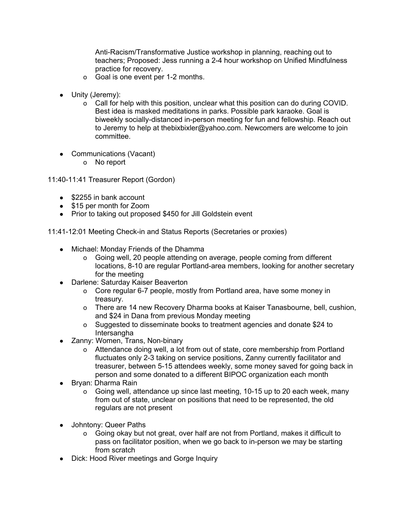Anti-Racism/Transformative Justice workshop in planning, reaching out to teachers; Proposed: Jess running a 2-4 hour workshop on Unified Mindfulness practice for recovery.

- o Goal is one event per 1-2 months.
- Unity (Jeremy):
	- o Call for help with this position, unclear what this position can do during COVID. Best idea is masked meditations in parks. Possible park karaoke. Goal is biweekly socially-distanced in-person meeting for fun and fellowship. Reach out to Jeremy to help at thebixbixler@yahoo.com. Newcomers are welcome to join committee.
- Communications (Vacant)
	- o No report

11:40-11:41 Treasurer Report (Gordon)

- $\bullet$  \$2255 in bank account
- \$15 per month for Zoom
- Prior to taking out proposed \$450 for Jill Goldstein event

11:41-12:01 Meeting Check-in and Status Reports (Secretaries or proxies)

- Michael: Monday Friends of the Dhamma
	- o Going well, 20 people attending on average, people coming from different locations, 8-10 are regular Portland-area members, looking for another secretary for the meeting
- Darlene: Saturday Kaiser Beaverton
	- o Core regular 6-7 people, mostly from Portland area, have some money in treasury.
	- o There are 14 new Recovery Dharma books at Kaiser Tanasbourne, bell, cushion, and \$24 in Dana from previous Monday meeting
	- o Suggested to disseminate books to treatment agencies and donate \$24 to **Intersangha**
- Zanny: Women, Trans, Non-binary
	- o Attendance doing well, a lot from out of state, core membership from Portland fluctuates only 2-3 taking on service positions, Zanny currently facilitator and treasurer, between 5-15 attendees weekly, some money saved for going back in person and some donated to a different BIPOC organization each month
- Bryan: Dharma Rain
	- o Going well, attendance up since last meeting, 10-15 up to 20 each week, many from out of state, unclear on positions that need to be represented, the old regulars are not present
- Johntony: Queer Paths
	- o Going okay but not great, over half are not from Portland, makes it difficult to pass on facilitator position, when we go back to in-person we may be starting from scratch
- Dick: Hood River meetings and Gorge Inquiry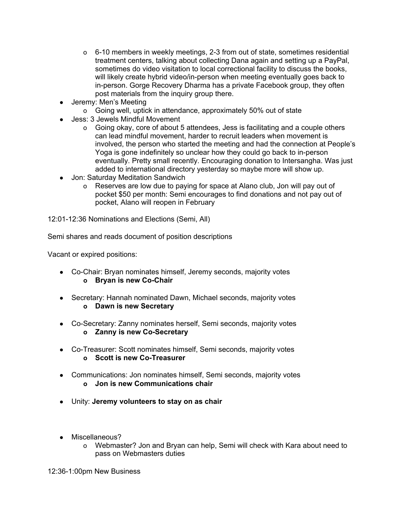- o 6-10 members in weekly meetings, 2-3 from out of state, sometimes residential treatment centers, talking about collecting Dana again and setting up a PayPal, sometimes do video visitation to local correctional facility to discuss the books, will likely create hybrid video/in-person when meeting eventually goes back to in-person. Gorge Recovery Dharma has a private Facebook group, they often post materials from the inquiry group there.
- Jeremy: Men's Meeting
	- o Going well, uptick in attendance, approximately 50% out of state
- Jess: 3 Jewels Mindful Movement
	- o Going okay, core of about 5 attendees, Jess is facilitating and a couple others can lead mindful movement, harder to recruit leaders when movement is involved, the person who started the meeting and had the connection at People's Yoga is gone indefinitely so unclear how they could go back to in-person eventually. Pretty small recently. Encouraging donation to Intersangha. Was just added to international directory yesterday so maybe more will show up.
- Jon: Saturday Meditation Sandwich
	- o Reserves are low due to paying for space at Alano club, Jon will pay out of pocket \$50 per month: Semi encourages to find donations and not pay out of pocket, Alano will reopen in February

12:01-12:36 Nominations and Elections (Semi, All)

Semi shares and reads document of position descriptions

Vacant or expired positions:

- Co-Chair: Bryan nominates himself, Jeremy seconds, majority votes **o Bryan is new Co-Chair**
- Secretary: Hannah nominated Dawn, Michael seconds, majority votes **o Dawn is new Secretary**
- Co-Secretary: Zanny nominates herself, Semi seconds, majority votes **o Zanny is new Co-Secretary**
- Co-Treasurer: Scott nominates himself, Semi seconds, majority votes **o Scott is new Co-Treasurer**
- Communications: Jon nominates himself, Semi seconds, majority votes **o Jon is new Communications chair**
- Unity: **Jeremy volunteers to stay on as chair**
- Miscellaneous?
	- o Webmaster? Jon and Bryan can help, Semi will check with Kara about need to pass on Webmasters duties